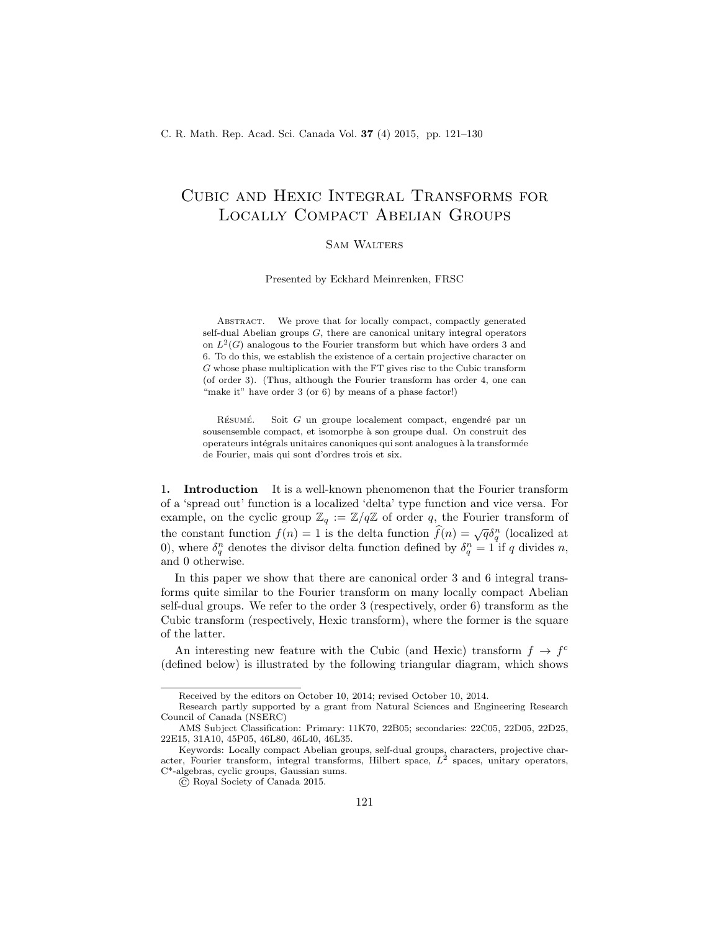# Cubic and Hexic Integral Transforms for Locally Compact Abelian Groups

# Sam Walters

Presented by Eckhard Meinrenken, FRSC

ABSTRACT. We prove that for locally compact, compactly generated self-dual Abelian groups  $G$ , there are canonical unitary integral operators on  $L^2(G)$  analogous to the Fourier transform but which have orders 3 and 6. To do this, we establish the existence of a certain projective character on G whose phase multiplication with the FT gives rise to the Cubic transform (of order 3). (Thus, although the Fourier transform has order 4, one can "make it" have order 3 (or 6) by means of a phase factor!)

RÉSUMÉ.  $\;$  Soit  $G$  un groupe localement compact, engendré par un sousensemble compact, et isomorphe à son groupe dual. On construit des operateurs intégrals unitaires canoniques qui sont analogues à la transformée de Fourier, mais qui sont d'ordres trois et six.

1. Introduction It is a well-known phenomenon that the Fourier transform of a 'spread out' function is a localized 'delta' type function and vice versa. For example, on the cyclic group  $\mathbb{Z}_q := \mathbb{Z}/q\mathbb{Z}$  of order q, the Fourier transform of the constant function  $f(n) = 1$  is the delta function  $\hat{f}(n) = \sqrt{q} \delta_q^n$  (localized at 0), where  $\delta_q^n$  denotes the divisor delta function defined by  $\delta_q^n = 1$  if q divides n, and 0 otherwise.

In this paper we show that there are canonical order 3 and 6 integral transforms quite similar to the Fourier transform on many locally compact Abelian self-dual groups. We refer to the order 3 (respectively, order 6) transform as the Cubic transform (respectively, Hexic transform), where the former is the square of the latter.

An interesting new feature with the Cubic (and Hexic) transform  $f \to f^c$ (defined below) is illustrated by the following triangular diagram, which shows

Received by the editors on October 10, 2014; revised October 10, 2014.

Research partly supported by a grant from Natural Sciences and Engineering Research Council of Canada (NSERC)

AMS Subject Classification: Primary: 11K70, 22B05; secondaries: 22C05, 22D05, 22D25, 22E15, 31A10, 45P05, 46L80, 46L40, 46L35.

Keywords: Locally compact Abelian groups, self-dual groups, characters, projective character, Fourier transform, integral transforms, Hilbert space,  $L^2$  spaces, unitary operators, C\*-algebras, cyclic groups, Gaussian sums.

<sup>©</sup> Royal Society of Canada 2015.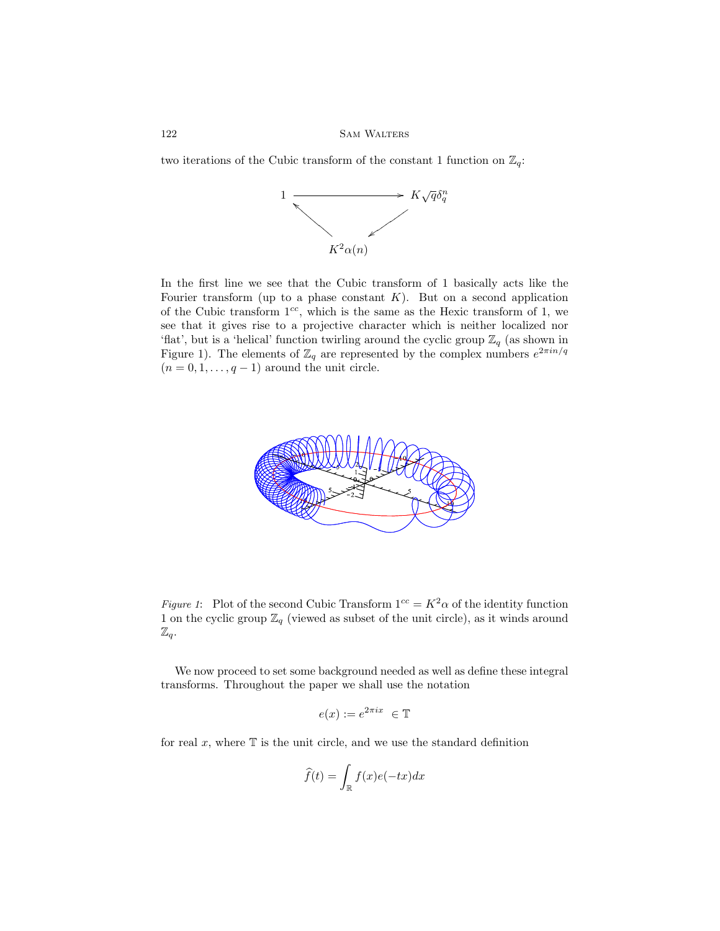two iterations of the Cubic transform of the constant 1 function on  $\mathbb{Z}_q$ :



In the first line we see that the Cubic transform of 1 basically acts like the Fourier transform (up to a phase constant  $K$ ). But on a second application of the Cubic transform  $1^{cc}$ , which is the same as the Hexic transform of 1, we see that it gives rise to a projective character which is neither localized nor 'flat', but is a 'helical' function twirling around the cyclic group  $\mathbb{Z}_q$  (as shown in Figure 1). The elements of  $\mathbb{Z}_q$  are represented by the complex numbers  $e^{2\pi i n/q}$  $(n = 0, 1, \ldots, q - 1)$  around the unit circle.



Figure 1: Plot of the second Cubic Transform  $1^{cc} = K^2 \alpha$  of the identity function 1 on the cyclic group  $\mathbb{Z}_q$  (viewed as subset of the unit circle), as it winds around  $\mathbb{Z}_q.$ 

We now proceed to set some background needed as well as define these integral transforms. Throughout the paper we shall use the notation

$$
e(x) := e^{2\pi ix} \in \mathbb{T}
$$

for real  $x$ , where  $\mathbb T$  is the unit circle, and we use the standard definition

$$
\widehat{f}(t) = \int_{\mathbb{R}} f(x)e(-tx)dx
$$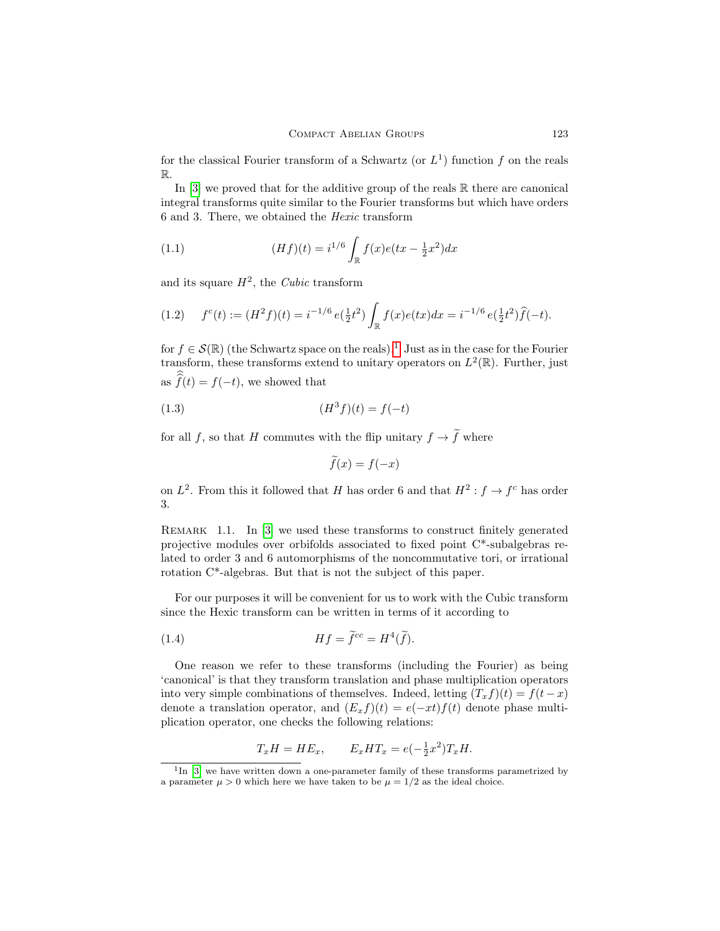for the classical Fourier transform of a Schwartz (or  $L<sup>1</sup>$ ) function f on the reals R.

In  $[3]$  we proved that for the additive group of the reals  $\mathbb R$  there are canonical integral transforms quite similar to the Fourier transforms but which have orders 6 and 3. There, we obtained the Hexic transform

(1.1) 
$$
(Hf)(t) = i^{1/6} \int_{\mathbb{R}} f(x)e(tx - \frac{1}{2}x^2)dx
$$

and its square  $H^2$ , the *Cubic* transform

$$
(1.2) \t fc(t) := (H2 f)(t) = i-1/6 e(\frac{1}{2}t2) \int_{\mathbb{R}} f(x)e(tx)dx = i-1/6 e(\frac{1}{2}t2)\widehat{f}(-t).
$$

for  $f \in \mathcal{S}(\mathbb{R})$  (the Schwartz space on the reals).<sup>[1](#page-2-0)</sup> Just as in the case for the Fourier transform, these transforms extend to unitary operators on  $L^2(\mathbb{R})$ . Further, just as  $f(t) = f(-t)$ , we showed that

(1.3) 
$$
(H^3 f)(t) = f(-t)
$$

for all f, so that H commutes with the flip unitary  $f \rightarrow \tilde{f}$  where

<span id="page-2-1"></span>
$$
\widetilde{f}(x) = f(-x)
$$

on  $L^2$ . From this it followed that H has order 6 and that  $H^2: f \to f^c$  has order 3.

REMARK 1.1. In [\[3\]](#page-9-0) we used these transforms to construct finitely generated projective modules over orbifolds associated to fixed point C\*-subalgebras related to order 3 and 6 automorphisms of the noncommutative tori, or irrational rotation C\*-algebras. But that is not the subject of this paper.

For our purposes it will be convenient for us to work with the Cubic transform since the Hexic transform can be written in terms of it according to

(1.4) 
$$
Hf = \tilde{f}^{cc} = H^4(\tilde{f}).
$$

One reason we refer to these transforms (including the Fourier) as being 'canonical' is that they transform translation and phase multiplication operators into very simple combinations of themselves. Indeed, letting  $(T_x f)(t) = f(t - x)$ denote a translation operator, and  $(E_x f)(t) = e(-xt) f(t)$  denote phase multiplication operator, one checks the following relations:

$$
T_x H = H E_x, \qquad E_x H T_x = e(-\frac{1}{2}x^2) T_x H.
$$

<span id="page-2-0"></span><sup>&</sup>lt;sup>1</sup>In [\[3\]](#page-9-0) we have written down a one-parameter family of these transforms parametrized by a parameter  $\mu > 0$  which here we have taken to be  $\mu = 1/2$  as the ideal choice.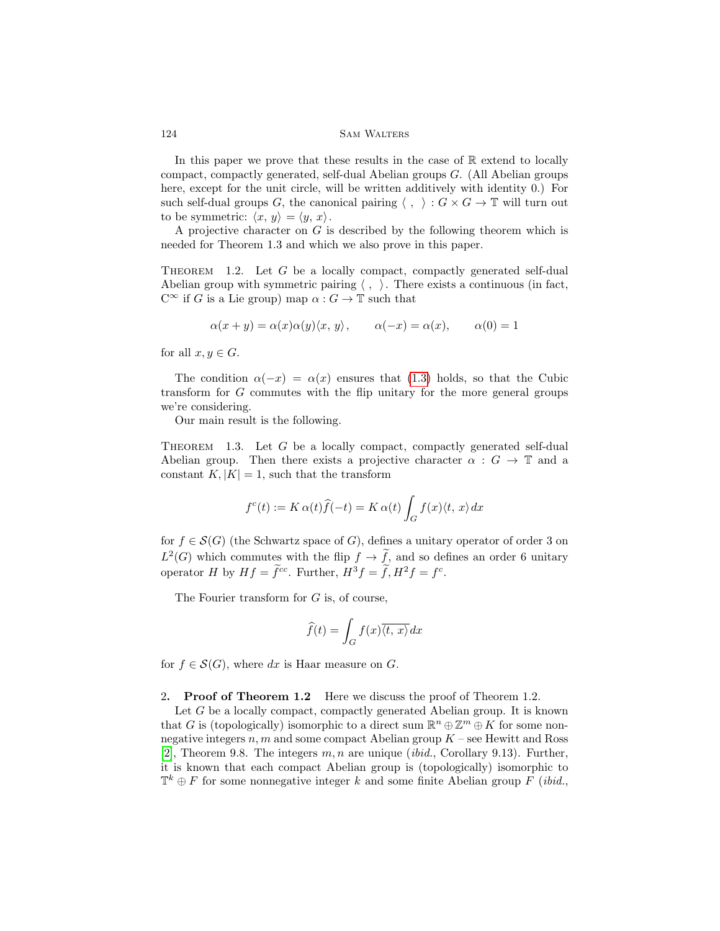In this paper we prove that these results in the case of  $\mathbb R$  extend to locally compact, compactly generated, self-dual Abelian groups G. (All Abelian groups here, except for the unit circle, will be written additively with identity 0.) For such self-dual groups G, the canonical pairing  $\langle , \rangle : G \times G \to \mathbb{T}$  will turn out to be symmetric:  $\langle x, y \rangle = \langle y, x \rangle$ .

A projective character on  $G$  is described by the following theorem which is needed for Theorem 1.3 and which we also prove in this paper.

THEOREM 1.2. Let  $G$  be a locally compact, compactly generated self-dual Abelian group with symmetric pairing  $\langle , \rangle$ . There exists a continuous (in fact,  $C^{\infty}$  if G is a Lie group) map  $\alpha: G \to \mathbb{T}$  such that

$$
\alpha(x + y) = \alpha(x)\alpha(y)\langle x, y \rangle, \qquad \alpha(-x) = \alpha(x), \qquad \alpha(0) = 1
$$

for all  $x, y \in G$ .

The condition  $\alpha(-x) = \alpha(x)$  ensures that [\(1.3\)](#page-2-1) holds, so that the Cubic transform for G commutes with the flip unitary for the more general groups we're considering.

Our main result is the following.

<span id="page-3-0"></span>THEOREM 1.3. Let  $G$  be a locally compact, compactly generated self-dual Abelian group. Then there exists a projective character  $\alpha : G \to \mathbb{T}$  and a constant  $K, |K| = 1$ , such that the transform

$$
f^{c}(t) := K \alpha(t)\hat{f}(-t) = K \alpha(t) \int_{G} f(x) \langle t, x \rangle dx
$$

for  $f \in \mathcal{S}(G)$  (the Schwartz space of G), defines a unitary operator of order 3 on  $L^2(G)$  which commutes with the flip  $f \to \tilde{f}$ , and so defines an order 6 unitary operator H by  $Hf = \tilde{f}^{cc}$ . Further,  $H^3 f = \tilde{f}$ ,  $H^2 f = f^c$ .

The Fourier transform for G is, of course,

$$
\widehat{f}(t) = \int_G f(x)\overline{\langle t, x \rangle} dx
$$

for  $f \in \mathcal{S}(G)$ , where dx is Haar measure on G.

2. Proof of Theorem 1.2 Here we discuss the proof of Theorem 1.2.

Let  $G$  be a locally compact, compactly generated Abelian group. It is known that G is (topologically) isomorphic to a direct sum  $\mathbb{R}^n \oplus \mathbb{Z}^m \oplus K$  for some nonnegative integers  $n, m$  and some compact Abelian group  $K$  – see Hewitt and Ross [\[2\]](#page-9-1), Theorem 9.8. The integers  $m, n$  are unique *(ibid., Corollary 9.13)*. Further, it is known that each compact Abelian group is (topologically) isomorphic to  $\mathbb{T}^k \oplus F$  for some nonnegative integer k and some finite Abelian group F (ibid.,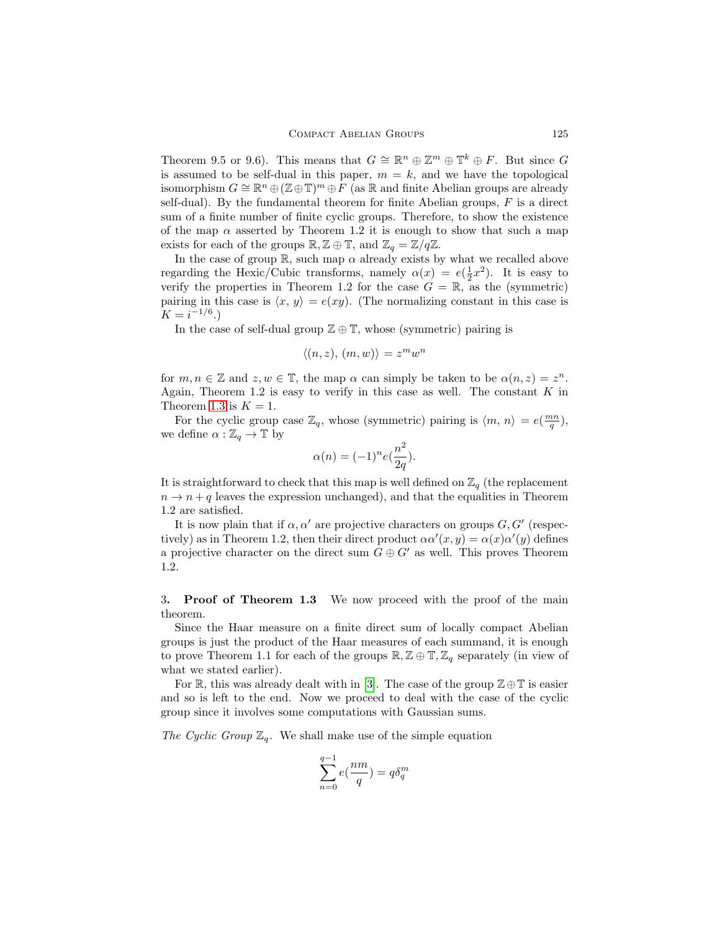Theorem 9.5 or 9.6). This means that  $G \cong \mathbb{R}^n \oplus \mathbb{Z}^m \oplus \mathbb{T}^k \oplus F$ . But since G is assumed to be self-dual in this paper,  $m = k$ , and we have the topological isomorphism  $G \cong \mathbb{R}^n \oplus (\mathbb{Z} \oplus \mathbb{T})^m \oplus \overline{F}$  (as  $\mathbb R$  and finite Abelian groups are already self-dual). By the fundamental theorem for finite Abelian groups,  $F$  is a direct sum of a finite number of finite cyclic groups. Therefore, to show the existence of the map  $\alpha$  asserted by Theorem 1.2 it is enough to show that such a map exists for each of the groups  $\mathbb{R}, \mathbb{Z} \oplus \mathbb{T}$ , and  $\mathbb{Z}_q = \mathbb{Z}/q\mathbb{Z}$ .

In the case of group  $\mathbb{R}$ , such map  $\alpha$  already exists by what we recalled above regarding the Hexic/Cubic transforms, namely  $\alpha(x) = e(\frac{1}{2}x^2)$ . It is easy to verify the properties in Theorem 1.2 for the case  $G = \mathbb{R}$ , as the (symmetric) pairing in this case is  $\langle x, y \rangle = e(xy)$ . (The normalizing constant in this case is  $K = i^{-1/6}$ .)

In the case of self-dual group  $\mathbb{Z} \oplus \mathbb{T}$ , whose (symmetric) pairing is

$$
\langle (n, z), (m, w) \rangle = z^m w^n
$$

for  $m, n \in \mathbb{Z}$  and  $z, w \in \mathbb{T}$ , the map  $\alpha$  can simply be taken to be  $\alpha(n, z) = z<sup>n</sup>$ . Again, Theorem 1.2 is easy to verify in this case as well. The constant  $K$  in Theorem [1.3](#page-3-0) is  $K = 1$ .

For the cyclic group case  $\mathbb{Z}_q$ , whose (symmetric) pairing is  $\langle m, n \rangle = e(\frac{mn}{q}),$ we define  $\alpha : \mathbb{Z}_q \to \mathbb{T}$  by

$$
\alpha(n)=(-1)^{n}e(\frac{n^{2}}{2q}).
$$

It is straightforward to check that this map is well defined on  $\mathbb{Z}_q$  (the replacement  $n \to n + q$  leaves the expression unchanged), and that the equalities in Theorem 1.2 are satisfied.

It is now plain that if  $\alpha, \alpha'$  are projective characters on groups  $G, G'$  (respectively) as in Theorem 1.2, then their direct product  $\alpha \alpha'(x, y) = \alpha(x) \alpha'(y)$  defines a projective character on the direct sum  $G \oplus G'$  as well. This proves Theorem 1.2.

3. Proof of Theorem 1.3 We now proceed with the proof of the main theorem.

Since the Haar measure on a finite direct sum of locally compact Abelian groups is just the product of the Haar measures of each summand, it is enough to prove Theorem 1.1 for each of the groups  $\mathbb{R}, \mathbb{Z} \oplus \mathbb{T}, \mathbb{Z}_q$  separately (in view of what we stated earlier).

For R, this was already dealt with in [\[3\]](#page-9-0). The case of the group  $\mathbb{Z}\oplus\mathbb{T}$  is easier and so is left to the end. Now we proceed to deal with the case of the cyclic group since it involves some computations with Gaussian sums.

The Cyclic Group  $\mathbb{Z}_q$ . We shall make use of the simple equation

$$
\sum_{n=0}^{q-1}e(\frac{nm}{q})=q\delta_q^m
$$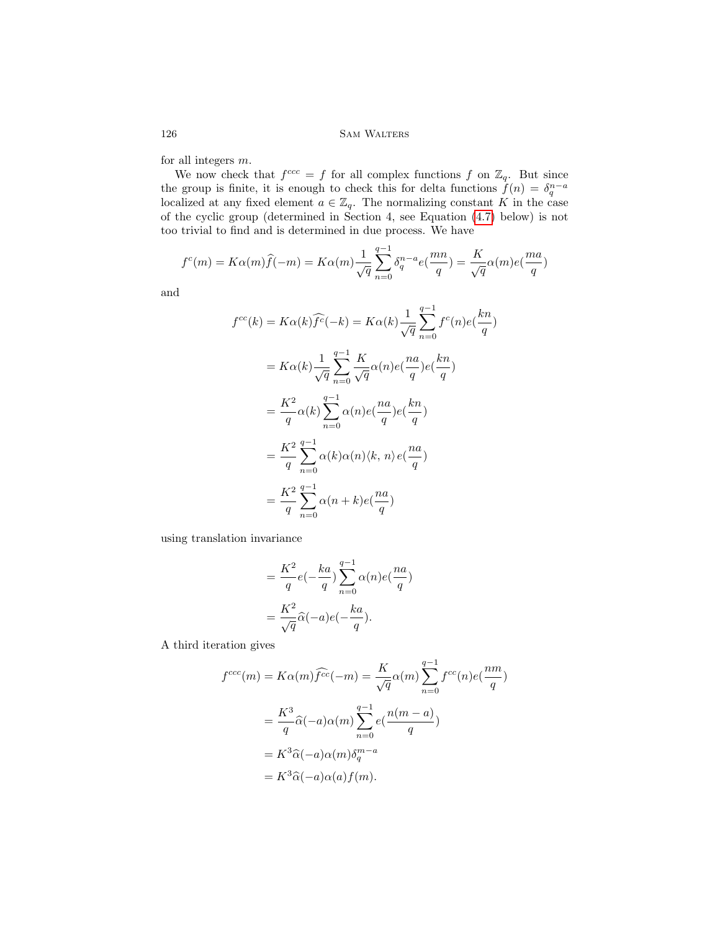for all integers m.

We now check that  $f^{ccc} = f$  for all complex functions f on  $\mathbb{Z}_q$ . But since the group is finite, it is enough to check this for delta functions  $\tilde{f}(n) = \delta_q^{n-a}$  localized at any fixed element  $a \in \mathbb{Z}_q$ . The normalizing constant K in the case of the cyclic group (determined in Section 4, see Equation [\(4.7\)](#page-8-0) below) is not too trivial to find and is determined in due process. We have

$$
f^{c}(m) = K\alpha(m)\widehat{f}(-m) = K\alpha(m)\frac{1}{\sqrt{q}}\sum_{n=0}^{q-1} \delta_{q}^{n-a} e(\frac{mn}{q}) = \frac{K}{\sqrt{q}}\alpha(m)e(\frac{ma}{q})
$$

and

$$
f^{cc}(k) = K\alpha(k)\widehat{f^c}(-k) = K\alpha(k)\frac{1}{\sqrt{q}}\sum_{n=0}^{q-1}f^c(n)e(\frac{kn}{q})
$$
  

$$
= K\alpha(k)\frac{1}{\sqrt{q}}\sum_{n=0}^{q-1}\frac{K}{\sqrt{q}}\alpha(n)e(\frac{na}{q})e(\frac{kn}{q})
$$
  

$$
= \frac{K^2}{q}\alpha(k)\sum_{n=0}^{q-1}\alpha(n)e(\frac{na}{q})e(\frac{kn}{q})
$$
  

$$
= \frac{K^2}{q}\sum_{n=0}^{q-1}\alpha(k)\alpha(n)\langle k, n\rangle e(\frac{na}{q})
$$
  

$$
= \frac{K^2}{q}\sum_{n=0}^{q-1}\alpha(n+k)e(\frac{na}{q})
$$

using translation invariance

$$
= \frac{K^2}{q}e(-\frac{ka}{q})\sum_{n=0}^{q-1}\alpha(n)e(\frac{na}{q})
$$

$$
= \frac{K^2}{\sqrt{q}}\widehat{\alpha}(-a)e(-\frac{ka}{q}).
$$

A third iteration gives

$$
f^{ccc}(m) = K\alpha(m)\widehat{f^{cc}}(-m) = \frac{K}{\sqrt{q}}\alpha(m)\sum_{n=0}^{q-1} f^{cc}(n)e(\frac{nm}{q})
$$

$$
= \frac{K^3}{q}\widehat{\alpha}(-a)\alpha(m)\sum_{n=0}^{q-1}e(\frac{n(m-a)}{q})
$$

$$
= K^3\widehat{\alpha}(-a)\alpha(m)\delta_q^{m-a}
$$

$$
= K^3\widehat{\alpha}(-a)\alpha(a)f(m).
$$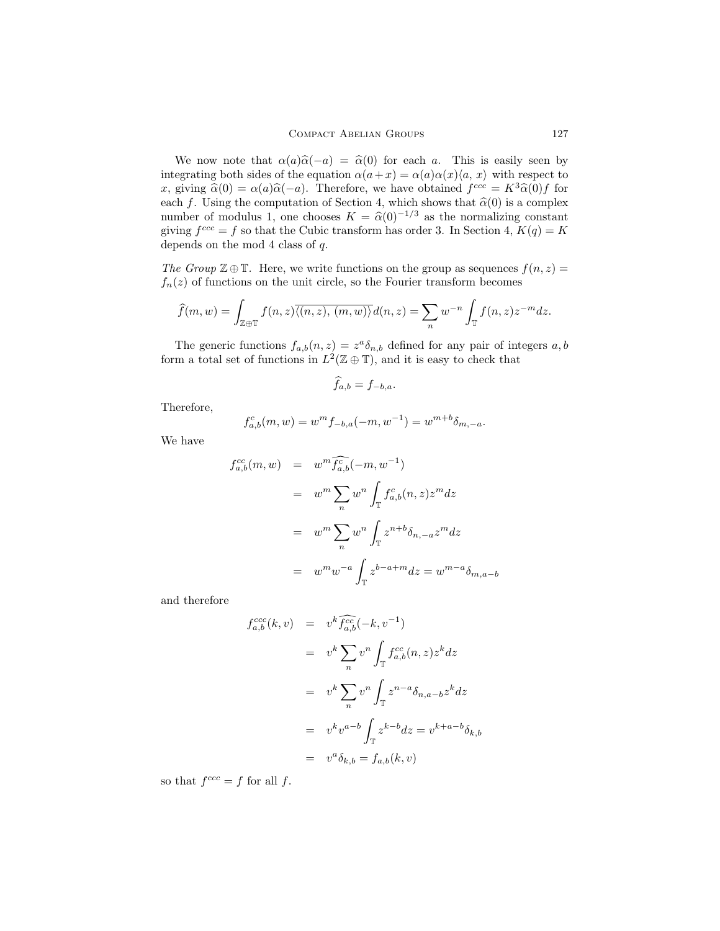We now note that  $\alpha(a)\hat{\alpha}(-a) = \hat{\alpha}(0)$  for each a. This is easily seen by integrating both sides of the equation  $\alpha(a+x) = \alpha(a)\alpha(x)\langle a, x \rangle$  with respect to x, giving  $\hat{\alpha}(0) = \alpha(a)\hat{\alpha}(-a)$ . Therefore, we have obtained  $f^{ccc} = K^3 \hat{\alpha}(0) f$  for each f. Using the computation of Section 4, which shows that  $\hat{\alpha}(0)$  is a complex number of modulus 1, one chooses  $K = \hat{\alpha}(0)^{-1/3}$  as the normalizing constant giving  $f^{ccc} = f$  so that the Cubic transform has order 3. In Section 4,  $K(q) = K$ depends on the mod 4 class of q.

The Group  $\mathbb{Z} \oplus \mathbb{T}$ . Here, we write functions on the group as sequences  $f(n, z) =$  $f_n(z)$  of functions on the unit circle, so the Fourier transform becomes

$$
\widehat{f}(m,w) = \int_{\mathbb{Z} \oplus \mathbb{T}} f(n,z) \overline{\langle (n,z), (m,w) \rangle} d(n,z) = \sum_{n} w^{-n} \int_{\mathbb{T}} f(n,z) z^{-m} dz.
$$

The generic functions  $f_{a,b}(n,z) = z^a \delta_{n,b}$  defined for any pair of integers a, b form a total set of functions in  $L^2(\mathbb{Z} \oplus \mathbb{T})$ , and it is easy to check that

$$
\widehat{f}_{a,b} = f_{-b,a}.
$$

Therefore,

$$
f_{a,b}^c(m, w) = w^m f_{-b,a}(-m, w^{-1}) = w^{m+b} \delta_{m,-a}.
$$

We have

$$
f_{a,b}^{cc}(m, w) = w^m \widehat{f_{a,b}^c}(-m, w^{-1})
$$
  

$$
= w^m \sum_n w^n \int_{\mathbb{T}} f_{a,b}^c(n, z) z^m dz
$$
  

$$
= w^m \sum_n w^n \int_{\mathbb{T}} z^{n+b} \delta_{n, -a} z^m dz
$$
  

$$
= w^m w^{-a} \int_{\mathbb{T}} z^{b-a+m} dz = w^{m-a} \delta_{m,a-b}
$$

and therefore

$$
f_{a,b}^{ccc}(k,v) = v^k \widehat{f}_{a,b}^{cc}(-k, v^{-1})
$$
  
\n
$$
= v^k \sum_n v^n \int_{\mathbb{T}} f_{a,b}^{cc}(n, z) z^k dz
$$
  
\n
$$
= v^k \sum_n v^n \int_{\mathbb{T}} z^{n-a} \delta_{n,a-b} z^k dz
$$
  
\n
$$
= v^k v^{a-b} \int_{\mathbb{T}} z^{k-b} dz = v^{k+a-b} \delta_{k,b}
$$
  
\n
$$
= v^a \delta_{k,b} = f_{a,b}(k, v)
$$

so that  $f^{ccc} = f$  for all f.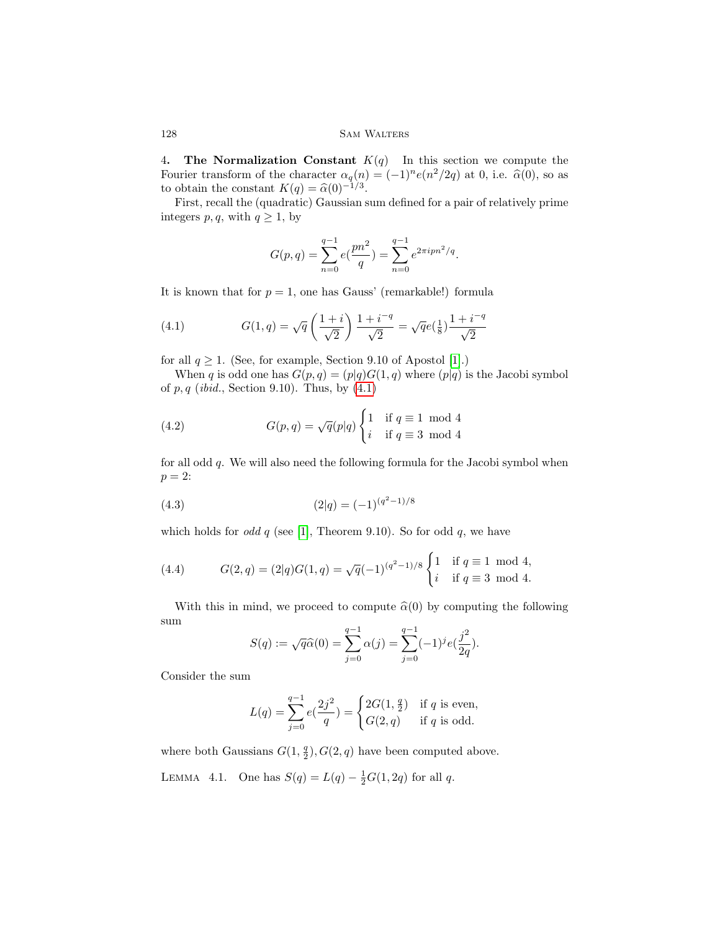4. The Normalization Constant  $K(q)$  In this section we compute the Fourier transform of the character  $\alpha_q(n) = (-1)^n e(n^2/2q)$  at 0, i.e.  $\hat{\alpha}(0)$ , so as to obtain the constant  $K(q) = \hat{\alpha}(0)^{-1/3}$ .<br>Eirct, rocall the (quadratic) Caussian s

First, recall the (quadratic) Gaussian sum defined for a pair of relatively prime integers p, q, with  $q \geq 1$ , by

$$
G(p,q) = \sum_{n=0}^{q-1} e(\frac{pn^2}{q}) = \sum_{n=0}^{q-1} e^{2\pi i pn^2/q}.
$$

It is known that for  $p = 1$ , one has Gauss' (remarkable!) formula

<span id="page-7-0"></span>(4.1) 
$$
G(1,q) = \sqrt{q} \left( \frac{1+i}{\sqrt{2}} \right) \frac{1+i^{-q}}{\sqrt{2}} = \sqrt{q}e(\frac{1}{8}) \frac{1+i^{-q}}{\sqrt{2}}
$$

for all  $q \ge 1$ . (See, for example, Section 9.10 of Apostol [\[1\]](#page-9-2).)

When q is odd one has  $G(p,q) = (p|q)G(1,q)$  where  $(p|q)$  is the Jacobi symbol of  $p, q$  (ibid., Section 9.10). Thus, by  $(4.1)$ 

(4.2) 
$$
G(p,q) = \sqrt{q}(p|q) \begin{cases} 1 & \text{if } q \equiv 1 \mod 4 \\ i & \text{if } q \equiv 3 \mod 4 \end{cases}
$$

for all odd q. We will also need the following formula for the Jacobi symbol when  $p=2$ :

$$
(4.3) \t\t (2|q) = (-1)^{(q^2 - 1)/8}
$$

which holds for *odd q* (see [\[1\]](#page-9-2), Theorem 9.10). So for odd  $q$ , we have

<span id="page-7-1"></span>(4.4) 
$$
G(2,q) = (2|q)G(1,q) = \sqrt{q}(-1)^{(q^2-1)/8} \begin{cases} 1 & \text{if } q \equiv 1 \mod 4, \\ i & \text{if } q \equiv 3 \mod 4. \end{cases}
$$

With this in mind, we proceed to compute  $\hat{\alpha}(0)$  by computing the following sum

$$
S(q) := \sqrt{q}\widehat{\alpha}(0) = \sum_{j=0}^{q-1} \alpha(j) = \sum_{j=0}^{q-1} (-1)^j e(\frac{j^2}{2q}).
$$

Consider the sum

$$
L(q) = \sum_{j=0}^{q-1} e(\frac{2j^2}{q}) = \begin{cases} 2G(1, \frac{q}{2}) & \text{if } q \text{ is even,} \\ G(2, q) & \text{if } q \text{ is odd.} \end{cases}
$$

where both Gaussians  $G(1, \frac{q}{2}), G(2, q)$  have been computed above. LEMMA 4.1. One has  $S(q) = L(q) - \frac{1}{2}G(1, 2q)$  for all q.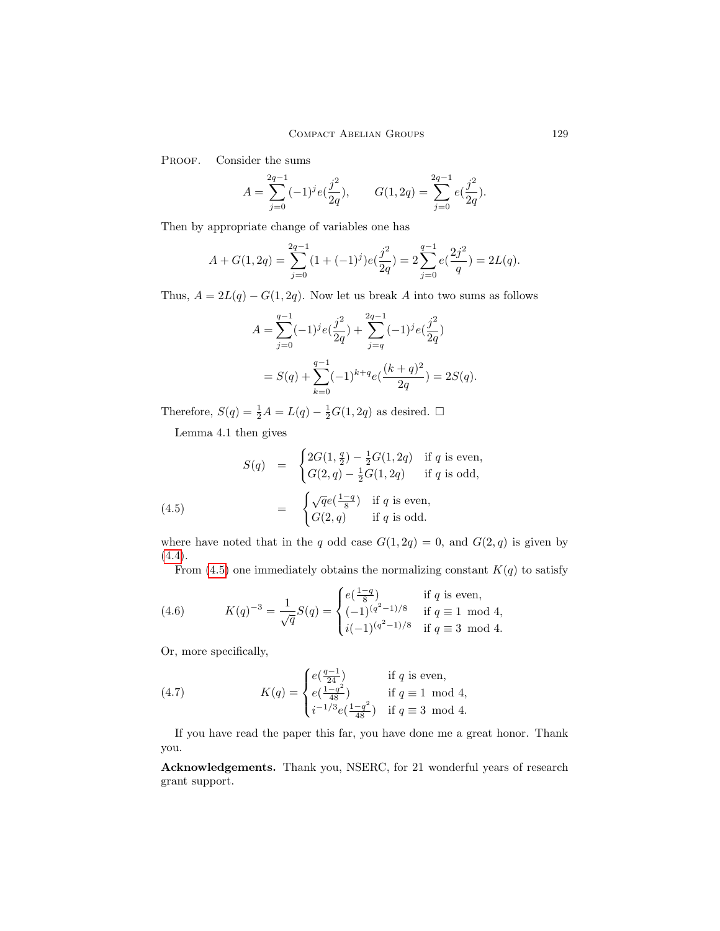PROOF. Consider the sums

$$
A = \sum_{j=0}^{2q-1} (-1)^j e(\frac{j^2}{2q}), \qquad G(1, 2q) = \sum_{j=0}^{2q-1} e(\frac{j^2}{2q}).
$$

Then by appropriate change of variables one has

$$
A + G(1, 2q) = \sum_{j=0}^{2q-1} (1 + (-1)^j) e(\frac{j^2}{2q}) = 2 \sum_{j=0}^{q-1} e(\frac{2j^2}{q}) = 2L(q).
$$

Thus,  $A = 2L(q) - G(1, 2q)$ . Now let us break A into two sums as follows

$$
A = \sum_{j=0}^{q-1} (-1)^j e(\frac{j^2}{2q}) + \sum_{j=q}^{2q-1} (-1)^j e(\frac{j^2}{2q})
$$
  
=  $S(q) + \sum_{k=0}^{q-1} (-1)^{k+q} e(\frac{(k+q)^2}{2q}) = 2S(q).$ 

Therefore,  $S(q) = \frac{1}{2}A = L(q) - \frac{1}{2}G(1, 2q)$  as desired.  $\Box$ 

<span id="page-8-1"></span>Lemma 4.1 then gives

(4.5) 
$$
S(q) = \begin{cases} 2G(1, \frac{q}{2}) - \frac{1}{2}G(1, 2q) & \text{if } q \text{ is even,} \\ G(2, q) - \frac{1}{2}G(1, 2q) & \text{if } q \text{ is odd,} \end{cases}
$$

$$
= \begin{cases} \sqrt{q}e(\frac{1-q}{8}) & \text{if } q \text{ is even,} \\ G(2, q) & \text{if } q \text{ is odd.} \end{cases}
$$

where have noted that in the q odd case  $G(1, 2q) = 0$ , and  $G(2, q)$  is given by [\(4.4\)](#page-7-1).

From [\(4.5\)](#page-8-1) one immediately obtains the normalizing constant  $K(q)$  to satisfy

(4.6) 
$$
K(q)^{-3} = \frac{1}{\sqrt{q}} S(q) = \begin{cases} e(\frac{1-q}{8}) & \text{if } q \text{ is even,} \\ (-1)^{(q^2-1)/8} & \text{if } q \equiv 1 \mod 4, \\ i(-1)^{(q^2-1)/8} & \text{if } q \equiv 3 \mod 4. \end{cases}
$$

Or, more specifically,

<span id="page-8-0"></span>(4.7) 
$$
K(q) = \begin{cases} e(\frac{q-1}{24}) & \text{if } q \text{ is even,} \\ e(\frac{1-q^2}{48}) & \text{if } q \equiv 1 \mod 4, \\ i^{-1/3}e(\frac{1-q^2}{48}) & \text{if } q \equiv 3 \mod 4. \end{cases}
$$

If you have read the paper this far, you have done me a great honor. Thank you.

Acknowledgements. Thank you, NSERC, for 21 wonderful years of research grant support.